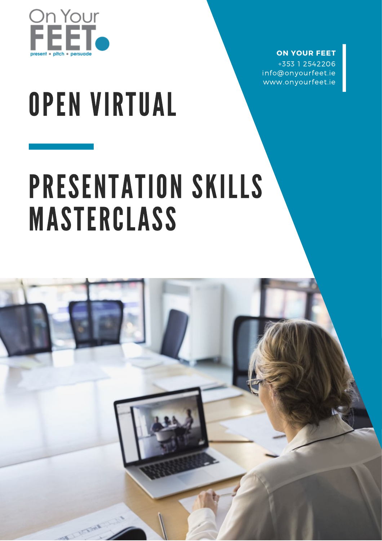

#### **ON YOUR FEET** +353 1 2542206

info@onyourfeet.ie www.onyourfeet.ie

# OPEN VIRTUAL

# PRESENTATION SKILLS MASTERCLASS

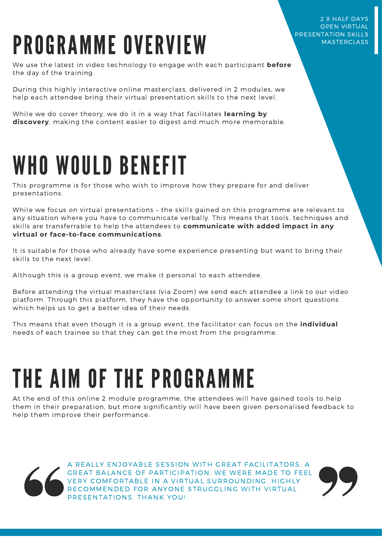#### 2 X HALF DAYS OPEN VIRTUAL PRESENTATION SKILLS **MASTERCLASS**

# PROGRAMME OVERVIEW

We use the latest in video technology to engage with each participant **before** the day of the training.

During this highly interactive online masterclass, delivered in 2 modules, we help each attendee bring their virtual presentation skills to the next level.

While we do cover theory, we do it in a way that facilitates **learning by discovery**, making the content easier to digest and much more memorable.

### WHO WOULD BENEFIT

This programme is for those who wish to improve how they prepare for and deliver presentations.

While we focus on virtual presentations – the skills gained on this programme are relevant to any situation where you have to communicate verbally. This means that tools, techniques and skills are transferrable to help the attendees to **communicate with added impact in any virtual or face-to-face communications**.

It is suitable for those who already have some experience presenting but want to bring their skills to the next level.

Although this is a group event, we make it personal to each attendee.

Before attending the virtual masterclass (via Zoom) we send each attendee a link to our video platform. Through this platform, they have the opportunity to answer some short questions which helps us to get a better idea of their needs.

This means that even though it is a group event, the facilitator can focus on the **individual** needs of each trainee so that they can get the most from the programme.

## THE AIM OF THE PROGRAMME

At the end of this online 2 module programme, the attendees will have gained tools to help them in their preparation, but more significantly will have been given personalised feedback to help them improve their performance.



A REALLY ENJOYABLE SESSION WITH GREAT FACILITATORS. A GREAT BALANCE OF PARTICIPATION. WE WERE MADE TO FEEL VERY COMFORTABLE IN A VIRTUAL SURROUNDING. HIGHLY RECOMMENDED FOR ANYONE STRUGGLING WITH VIRTUAL PRESENTATIONS. THANK YOU!

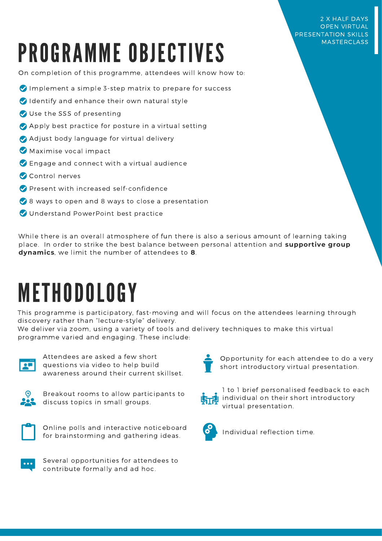# PROGRAMME OBJECTIVES

#### On completion of this programme, attendees will know how to:

- $\bullet$  Implement a simple 3-step matrix to prepare for success
- Identify and enhance their own natural style
- Use the SSS of presenting
- Apply best practice for posture in a virtual setting
- Adjust body language for virtual delivery
- Maximise vocal impact
- Engage and connect with a virtual audience
- Control nerves
- **Present with increased self-confidence**
- 8 ways to open and 8 ways to close a presentation
- O Understand PowerPoint best practice

While there is an overall atmosphere of fun there is also a serious amount of learning taking place. In order to strike the best balance between personal attention and **supportive group dynamics**, we limit the number of attendees to **8**.

### METHODOLOGY

This programme is participatory, fast-moving and will focus on the attendees learning through discovery rather than "lecture-style" delivery.

We deliver via zoom, using a variety of tools and delivery techniques to make this virtual programme varied and engaging. These include:



Attendees are asked a few short questions via video to help build awareness around their current skillset.



Breakout rooms to allow participants to discuss topics in small groups.



Online polls and interactive noticeboard for brainstorming and gathering ideas.



Several opportunities for attendees to contribute formally and ad hoc.



Opportunity for each attendee to do a very short introductory virtual presentation.



1 to 1 brief personalised feedback to each **hightharror** individual on their short introductory virtual presentation.



Individual reflection time.

2 X HALF DAYS OPEN VIRTUAL PRESENTATION SKILLS **MASTERCLASS**